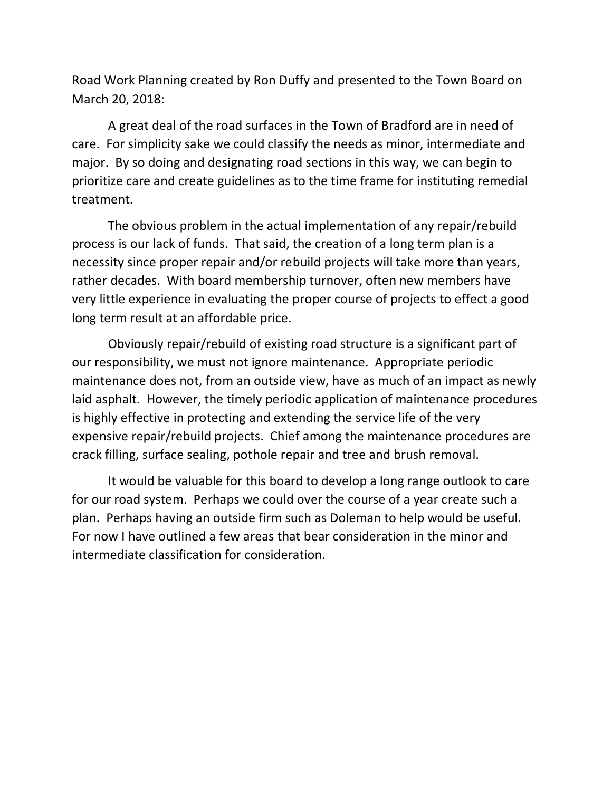Road Work Planning created by Ron Duffy and presented to the Town Board on March 20, 2018:

A great deal of the road surfaces in the Town of Bradford are in need of care. For simplicity sake we could classify the needs as minor, intermediate and major. By so doing and designating road sections in this way, we can begin to prioritize care and create guidelines as to the time frame for instituting remedial treatment.

The obvious problem in the actual implementation of any repair/rebuild process is our lack of funds. That said, the creation of a long term plan is a necessity since proper repair and/or rebuild projects will take more than years, rather decades. With board membership turnover, often new members have very little experience in evaluating the proper course of projects to effect a good long term result at an affordable price.

Obviously repair/rebuild of existing road structure is a significant part of our responsibility, we must not ignore maintenance. Appropriate periodic maintenance does not, from an outside view, have as much of an impact as newly laid asphalt. However, the timely periodic application of maintenance procedures is highly effective in protecting and extending the service life of the very expensive repair/rebuild projects. Chief among the maintenance procedures are crack filling, surface sealing, pothole repair and tree and brush removal.

It would be valuable for this board to develop a long range outlook to care for our road system. Perhaps we could over the course of a year create such a plan. Perhaps having an outside firm such as Doleman to help would be useful. For now I have outlined a few areas that bear consideration in the minor and intermediate classification for consideration.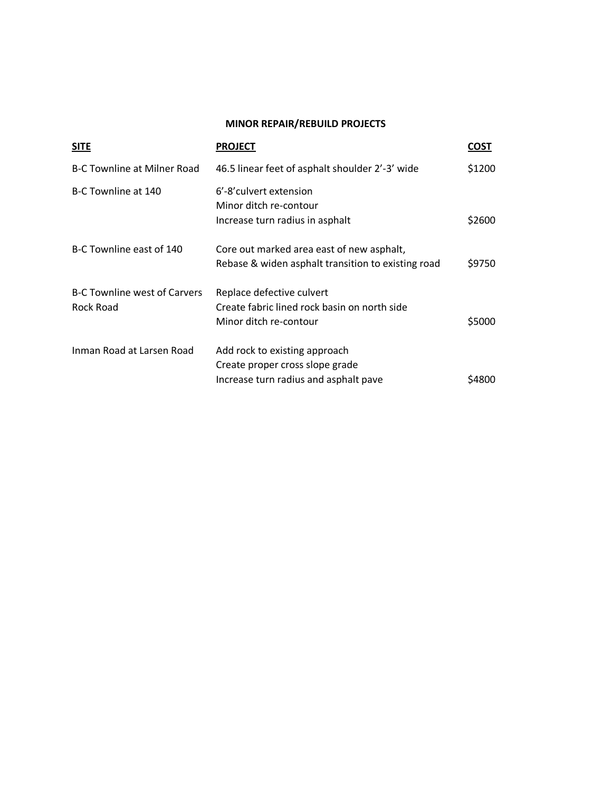# **MINOR REPAIR/REBUILD PROJECTS**

| <b>SITE</b>                                      | <b>PROJECT</b>                                                                                            | COST   |
|--------------------------------------------------|-----------------------------------------------------------------------------------------------------------|--------|
| <b>B-C Townline at Milner Road</b>               | 46.5 linear feet of asphalt shoulder 2'-3' wide                                                           | \$1200 |
| B-C Townline at 140                              | 6'-8' culvert extension<br>Minor ditch re-contour<br>Increase turn radius in asphalt                      | \$2600 |
| B-C Townline east of 140                         | Core out marked area east of new asphalt,<br>Rebase & widen asphalt transition to existing road           | \$9750 |
| <b>B-C Townline west of Carvers</b><br>Rock Road | Replace defective culvert<br>Create fabric lined rock basin on north side<br>Minor ditch re-contour       | \$5000 |
| Inman Road at Larsen Road                        | Add rock to existing approach<br>Create proper cross slope grade<br>Increase turn radius and asphalt pave | S4800  |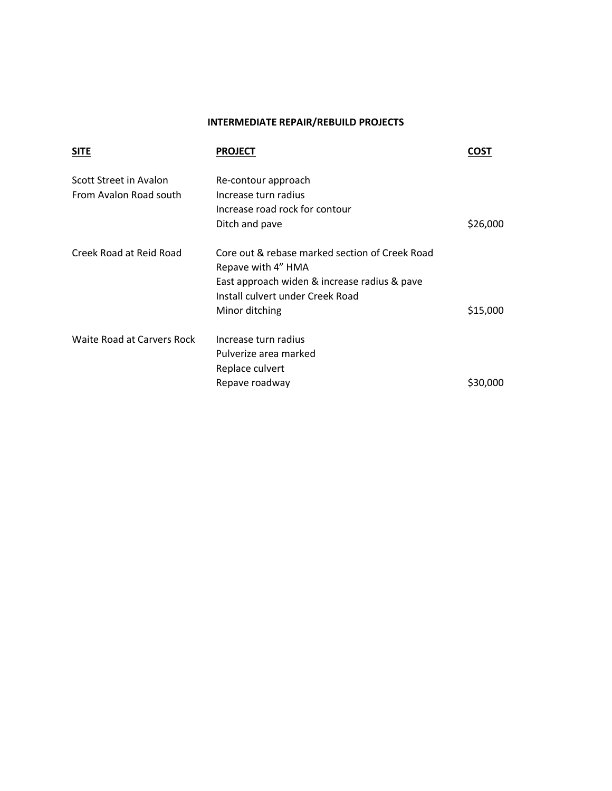# **INTERMEDIATE REPAIR/REBUILD PROJECTS**

| <b>SITE</b>                | <b>PROJECT</b>                                 | COST     |
|----------------------------|------------------------------------------------|----------|
| Scott Street in Avalon     | Re-contour approach                            |          |
| From Avalon Road south     | Increase turn radius                           |          |
|                            | Increase road rock for contour                 |          |
|                            | Ditch and pave                                 | \$26,000 |
| Creek Road at Reid Road    | Core out & rebase marked section of Creek Road |          |
|                            | Repave with 4" HMA                             |          |
|                            | East approach widen & increase radius & pave   |          |
|                            | Install culvert under Creek Road               |          |
|                            | Minor ditching                                 | \$15,000 |
| Waite Road at Carvers Rock | Increase turn radius                           |          |
|                            | Pulverize area marked                          |          |
|                            | Replace culvert                                |          |
|                            | Repave roadway                                 | \$30,000 |
|                            |                                                |          |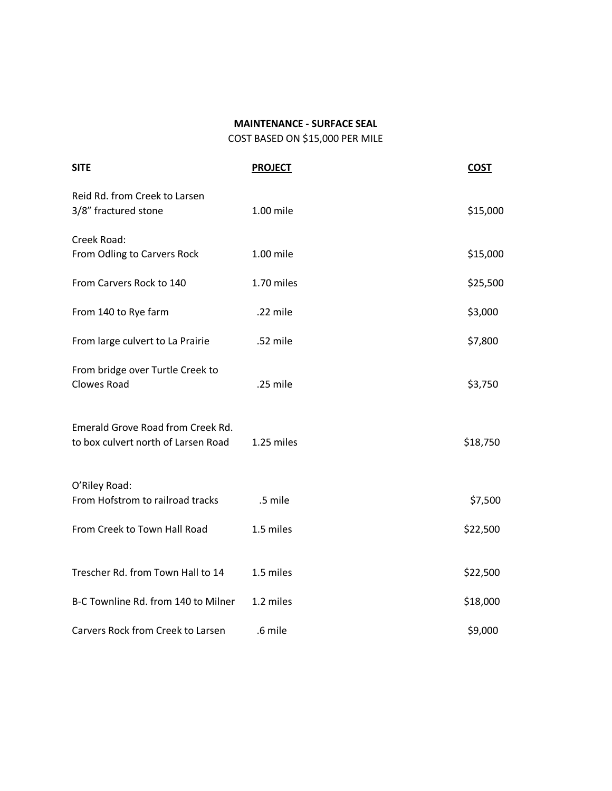## **MAINTENANCE - SURFACE SEAL**

COST BASED ON \$15,000 PER MILE

| <b>SITE</b>                                                              | <b>PROJECT</b> | <b>COST</b> |
|--------------------------------------------------------------------------|----------------|-------------|
| Reid Rd. from Creek to Larsen<br>3/8" fractured stone                    | 1.00 mile      | \$15,000    |
| Creek Road:<br>From Odling to Carvers Rock                               | 1.00 mile      | \$15,000    |
| From Carvers Rock to 140                                                 | 1.70 miles     | \$25,500    |
| From 140 to Rye farm                                                     | .22 mile       | \$3,000     |
| From large culvert to La Prairie                                         | .52 mile       | \$7,800     |
| From bridge over Turtle Creek to<br><b>Clowes Road</b>                   | .25 mile       | \$3,750     |
| Emerald Grove Road from Creek Rd.<br>to box culvert north of Larsen Road | 1.25 miles     | \$18,750    |
| O'Riley Road:<br>From Hofstrom to railroad tracks                        | .5 mile        | \$7,500     |
| From Creek to Town Hall Road                                             | 1.5 miles      | \$22,500    |
| Trescher Rd. from Town Hall to 14                                        | 1.5 miles      | \$22,500    |
| B-C Townline Rd. from 140 to Milner                                      | 1.2 miles      | \$18,000    |
| Carvers Rock from Creek to Larsen                                        | .6 mile        | \$9,000     |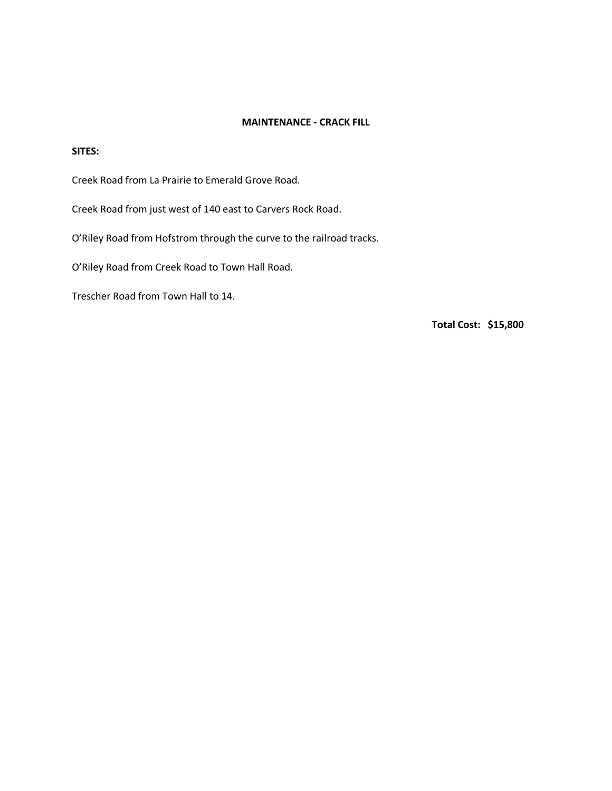# **MAINTENANCE - CRACK FILL**

### **SITES:**

Creek Road from La Prairie to Emerald Grove Road.

Creek Road from just west of 140 east to Carvers Rock Road.

O'Riley Road from Hofstrom through the curve to the railroad tracks.

O'Riley Road from Creek Road to Town Hall Road.

Trescher Road from Town Hall to 14.

**Total Cost: \$15,800**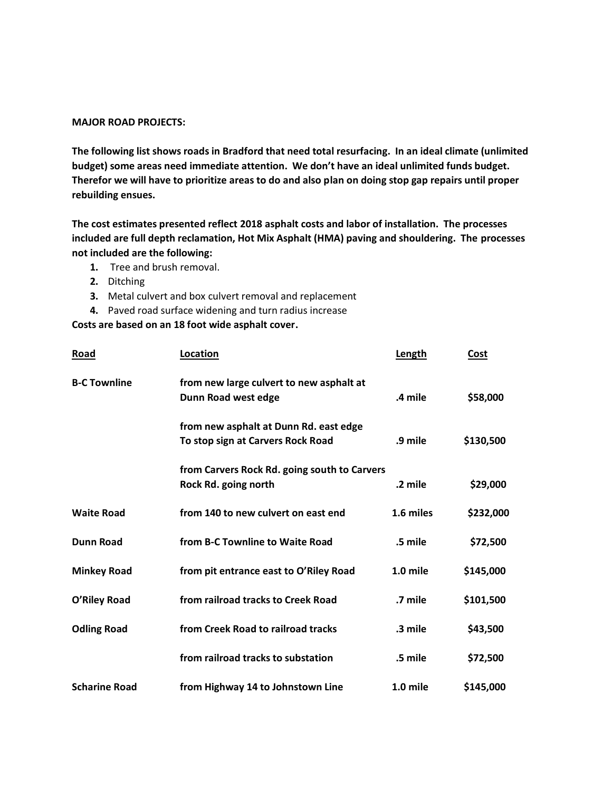#### **MAJOR ROAD PROJECTS:**

**The following list shows roads in Bradford that need total resurfacing. In an ideal climate (unlimited budget) some areas need immediate attention. We don't have an ideal unlimited funds budget. Therefor we will have to prioritize areas to do and also plan on doing stop gap repairs until proper rebuilding ensues.** 

**The cost estimates presented reflect 2018 asphalt costs and labor of installation. The processes included are full depth reclamation, Hot Mix Asphalt (HMA) paving and shouldering. The processes not included are the following:**

- **1.** Tree and brush removal.
- **2.** Ditching
- **3.** Metal culvert and box culvert removal and replacement
- **4.** Paved road surface widening and turn radius increase

### **Costs are based on an 18 foot wide asphalt cover.**

| Road                 | Location                                                                    | Length    | Cost      |
|----------------------|-----------------------------------------------------------------------------|-----------|-----------|
| <b>B-C Townline</b>  | from new large culvert to new asphalt at<br>Dunn Road west edge             | .4 mile   | \$58,000  |
|                      | from new asphalt at Dunn Rd. east edge<br>To stop sign at Carvers Rock Road | .9 mile   | \$130,500 |
|                      | from Carvers Rock Rd. going south to Carvers<br>Rock Rd. going north        | .2 mile   | \$29,000  |
| <b>Waite Road</b>    | from 140 to new culvert on east end                                         | 1.6 miles | \$232,000 |
| <b>Dunn Road</b>     | from B-C Townline to Waite Road                                             | .5 mile   | \$72,500  |
| <b>Minkey Road</b>   | from pit entrance east to O'Riley Road                                      | 1.0 mile  | \$145,000 |
| O'Riley Road         | from railroad tracks to Creek Road                                          | .7 mile   | \$101,500 |
| <b>Odling Road</b>   | from Creek Road to railroad tracks                                          | .3 mile   | \$43,500  |
|                      | from railroad tracks to substation                                          | .5 mile   | \$72,500  |
| <b>Scharine Road</b> | from Highway 14 to Johnstown Line                                           | 1.0 mile  | \$145,000 |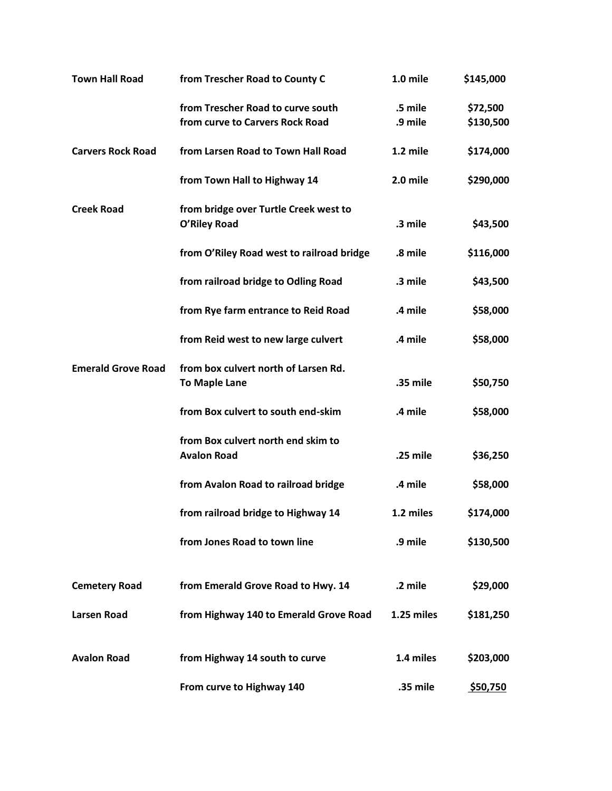| <b>Town Hall Road</b>     | from Trescher Road to County C                                       | 1.0 mile           | \$145,000             |
|---------------------------|----------------------------------------------------------------------|--------------------|-----------------------|
|                           | from Trescher Road to curve south<br>from curve to Carvers Rock Road | .5 mile<br>.9 mile | \$72,500<br>\$130,500 |
| <b>Carvers Rock Road</b>  | from Larsen Road to Town Hall Road                                   | 1.2 mile           | \$174,000             |
|                           | from Town Hall to Highway 14                                         | 2.0 mile           | \$290,000             |
| <b>Creek Road</b>         | from bridge over Turtle Creek west to<br>O'Riley Road                | .3 mile            | \$43,500              |
|                           | from O'Riley Road west to railroad bridge                            | .8 mile            | \$116,000             |
|                           | from railroad bridge to Odling Road                                  | .3 mile            | \$43,500              |
|                           | from Rye farm entrance to Reid Road                                  | .4 mile            | \$58,000              |
|                           | from Reid west to new large culvert                                  | .4 mile            | \$58,000              |
| <b>Emerald Grove Road</b> | from box culvert north of Larsen Rd.<br><b>To Maple Lane</b>         | .35 mile           | \$50,750              |
|                           | from Box culvert to south end-skim                                   | .4 mile            | \$58,000              |
|                           | from Box culvert north end skim to<br><b>Avalon Road</b>             | .25 mile           | \$36,250              |
|                           | from Avalon Road to railroad bridge                                  | .4 mile            | \$58,000              |
|                           | from railroad bridge to Highway 14                                   | 1.2 miles          | \$174,000             |
|                           | from Jones Road to town line                                         | .9 mile            | \$130,500             |
| <b>Cemetery Road</b>      | from Emerald Grove Road to Hwy. 14                                   | .2 mile            | \$29,000              |
| <b>Larsen Road</b>        | from Highway 140 to Emerald Grove Road                               | 1.25 miles         | \$181,250             |
| <b>Avalon Road</b>        | from Highway 14 south to curve                                       | 1.4 miles          | \$203,000             |
|                           | From curve to Highway 140                                            | .35 mile           | \$50,750              |